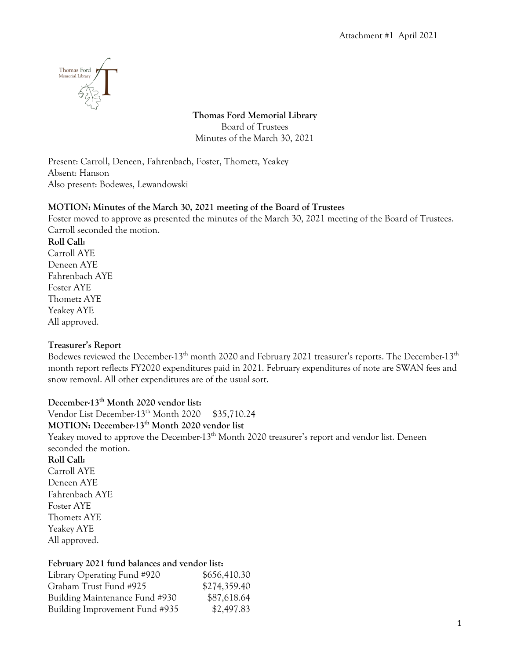

**Thomas Ford Memorial Library** Board of Trustees Minutes of the March 30, 2021

Present: Carroll, Deneen, Fahrenbach, Foster, Thometz, Yeakey Absent: Hanson Also present: Bodewes, Lewandowski

#### **MOTION: Minutes of the March 30, 2021 meeting of the Board of Trustees**

Foster moved to approve as presented the minutes of the March 30, 2021 meeting of the Board of Trustees. Carroll seconded the motion. **Roll Call:** Carroll AYE Deneen AYE Fahrenbach AYE Foster AYE Thometz AYE Yeakey AYE All approved.

#### **Treasurer's Report**

Bodewes reviewed the December-13th month 2020 and February 2021 treasurer's reports. The December-13th month report reflects FY2020 expenditures paid in 2021. February expenditures of note are SWAN fees and snow removal. All other expenditures are of the usual sort.

# **December-13th Month 2020 vendor list:**

Vendor List December-13<sup>th</sup> Month 2020 \$35,710.24 **MOTION: December-13th Month 2020 vendor list** Yeakey moved to approve the December-13<sup>th</sup> Month 2020 treasurer's report and vendor list. Deneen seconded the motion. **Roll Call:** Carroll AYE Deneen AYE Fahrenbach AYE Foster AYE Thometz AYE Yeakey AYE All approved.

#### **February 2021 fund balances and vendor list:**

| Library Operating Fund #920    | \$656,410.30 |
|--------------------------------|--------------|
| Graham Trust Fund #925         | \$274,359.40 |
| Building Maintenance Fund #930 | \$87,618.64  |
| Building Improvement Fund #935 | \$2,497.83   |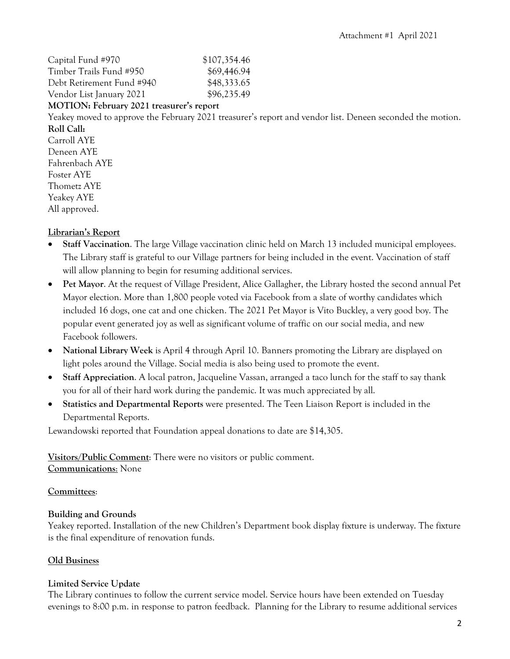Capital Fund #970 \$107,354.46 Timber Trails Fund #950 \$69,446.94 Debt Retirement Fund #940 \$48,333.65 Vendor List January 2021 \$96,235.49

### **MOTION: February 2021 treasurer's report**

Yeakey moved to approve the February 2021 treasurer's report and vendor list. Deneen seconded the motion. **Roll Call:**

Carroll AYE Deneen AYE Fahrenbach AYE Foster AYE Thometz AYE Yeakey AYE All approved.

# **Librarian's Report**

- **Staff Vaccination**. The large Village vaccination clinic held on March 13 included municipal employees. The Library staff is grateful to our Village partners for being included in the event. Vaccination of staff will allow planning to begin for resuming additional services.
- **Pet Mayor**. At the request of Village President, Alice Gallagher, the Library hosted the second annual Pet Mayor election. More than 1,800 people voted via Facebook from a slate of worthy candidates which included 16 dogs, one cat and one chicken. The 2021 Pet Mayor is Vito Buckley, a very good boy. The popular event generated joy as well as significant volume of traffic on our social media, and new Facebook followers.
- **National Library Week** is April 4 through April 10. Banners promoting the Library are displayed on light poles around the Village. Social media is also being used to promote the event.
- **Staff Appreciation**. A local patron, Jacqueline Vassan, arranged a taco lunch for the staff to say thank you for all of their hard work during the pandemic. It was much appreciated by all.
- **Statistics and Departmental Reports** were presented. The Teen Liaison Report is included in the Departmental Reports.

Lewandowski reported that Foundation appeal donations to date are \$14,305.

**Visitors/Public Comment**: There were no visitors or public comment. **Communications**: None

# **Committees**:

# **Building and Grounds**

Yeakey reported. Installation of the new Children's Department book display fixture is underway. The fixture is the final expenditure of renovation funds.

# **Old Business**

# **Limited Service Update**

The Library continues to follow the current service model. Service hours have been extended on Tuesday evenings to 8:00 p.m. in response to patron feedback. Planning for the Library to resume additional services